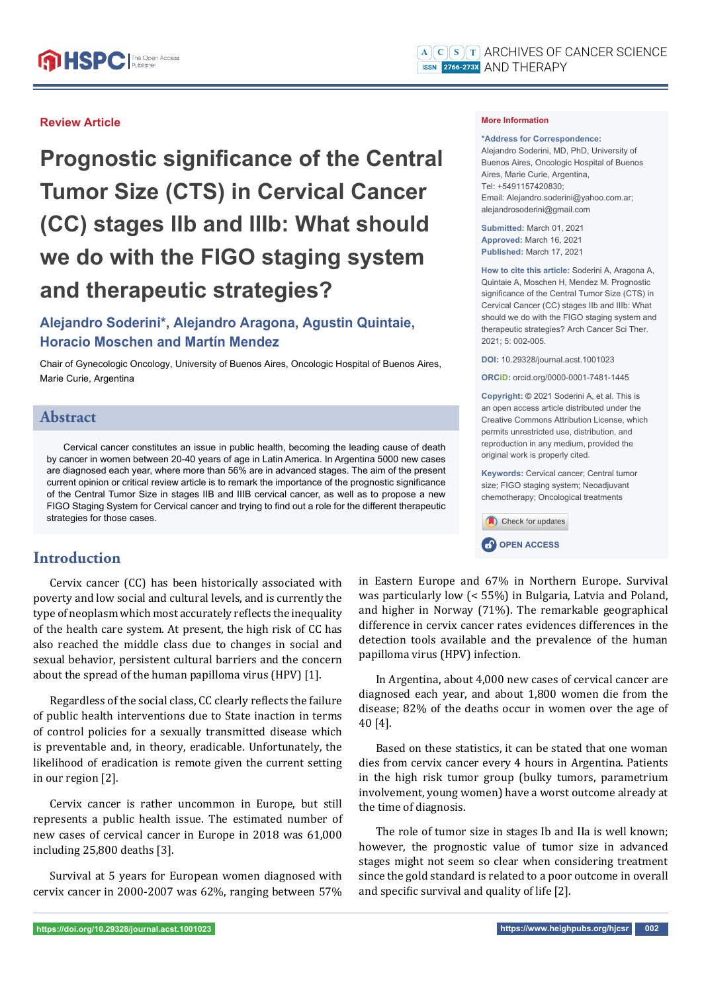### **Review Article**

**Prognostic significance of the Central Tumor Size (CTS) in Cervical Cancer (CC) stages IIb and IIIb: What should we do with the FIGO staging system and therapeutic strategies?**

# **Alejandro Soderini\*, Alejandro Aragona, Agustin Quintaie, Horacio Moschen and Martín Mendez**

Chair of Gynecologic Oncology, University of Buenos Aires, Oncologic Hospital of Buenos Aires, Marie Curie, Argentina

### **Abstract**

Cervical cancer constitutes an issue in public health, becoming the leading cause of death by cancer in women between 20-40 years of age in Latin America. In Argentina 5000 new cases are diagnosed each year, where more than 56% are in advanced stages. The aim of the present current opinion or critical review article is to remark the importance of the prognostic significance of the Central Tumor Size in stages IIB and IIIB cervical cancer, as well as to propose a new FIGO Staging System for Cervical cancer and trying to find out a role for the different therapeutic strategies for those cases.

## **Introduction**

Cervix cancer (CC) has been historically associated with poverty and low social and cultural levels, and is currently the type of neoplasm which most accurately reflects the inequality of the health care system. At present, the high risk of CC has also reached the middle class due to changes in social and sexual behavior, persistent cultural barriers and the concern about the spread of the human papilloma virus (HPV) [1].

Regardless of the social class, CC clearly reflects the failure of public health interventions due to State inaction in terms of control policies for a sexually transmitted disease which is preventable and, in theory, eradicable. Unfortunately, the likelihood of eradication is remote given the current setting in our region [2].

Cervix cancer is rather uncommon in Europe, but still represents a public health issue. The estimated number of new cases of cervical cancer in Europe in 2018 was 61,000 including 25,800 deaths [3].

Survival at 5 years for European women diagnosed with cervix cancer in 2000-2007 was 62%, ranging between 57%

#### **More Information**

#### **\*Address for Correspondence:**

Alejandro Soderini, MD, PhD, University of Buenos Aires, Oncologic Hospital of Buenos Aires, Marie Curie, Argentina, Tel: +5491157420830; Email: Alejandro.soderini@yahoo.com.ar; alejandrosoderini@gmail.com

**Submitted:** March 01, 2021 **Approved:** March 16, 2021 **Published:** March 17, 2021

**How to cite this article:** Soderini A, Aragona A, Quintaie A, Moschen H, Mendez M. Prognostic significance of the Central Tumor Size (CTS) in Cervical Cancer (CC) stages IIb and IIIb: What should we do with the FIGO staging system and therapeutic strategies? Arch Cancer Sci Ther.  $2021: 5: 002-005$ 

**DOI:** 10.29328/journal.acst.1001023

**ORCiD:** orcid.org/0000-0001-7481-1445

**Copyright: ©** 2021 Soderini A, et al. This is an open access article distributed under the Creative Commons Attribution License, which permits unrestricted use, distribution, and reproduction in any medium, provided the original work is properly cited.

**Keywords:** Cervical cancer; Central tumor size; FIGO staging system; Neoadjuvant chemotherapy; Oncological treatments

Check for updates **CP** OPEN ACCESS

in Eastern Europe and 67% in Northern Europe. Survival was particularly low (< 55%) in Bulgaria, Latvia and Poland, and higher in Norway (71%). The remarkable geographical difference in cervix cancer rates evidences differences in the detection tools available and the prevalence of the human papilloma virus (HPV) infection.

In Argentina, about 4,000 new cases of cervical cancer are diagnosed each year, and about 1,800 women die from the disease; 82% of the deaths occur in women over the age of 40 [4].

Based on these statistics, it can be stated that one woman dies from cervix cancer every 4 hours in Argentina. Patients in the high risk tumor group (bulky tumors, parametrium involvement, young women) have a worst outcome already at the time of diagnosis.

The role of tumor size in stages Ib and IIa is well known; however, the prognostic value of tumor size in advanced stages might not seem so clear when considering treatment since the gold standard is related to a poor outcome in overall and specific survival and quality of life  $[2]$ .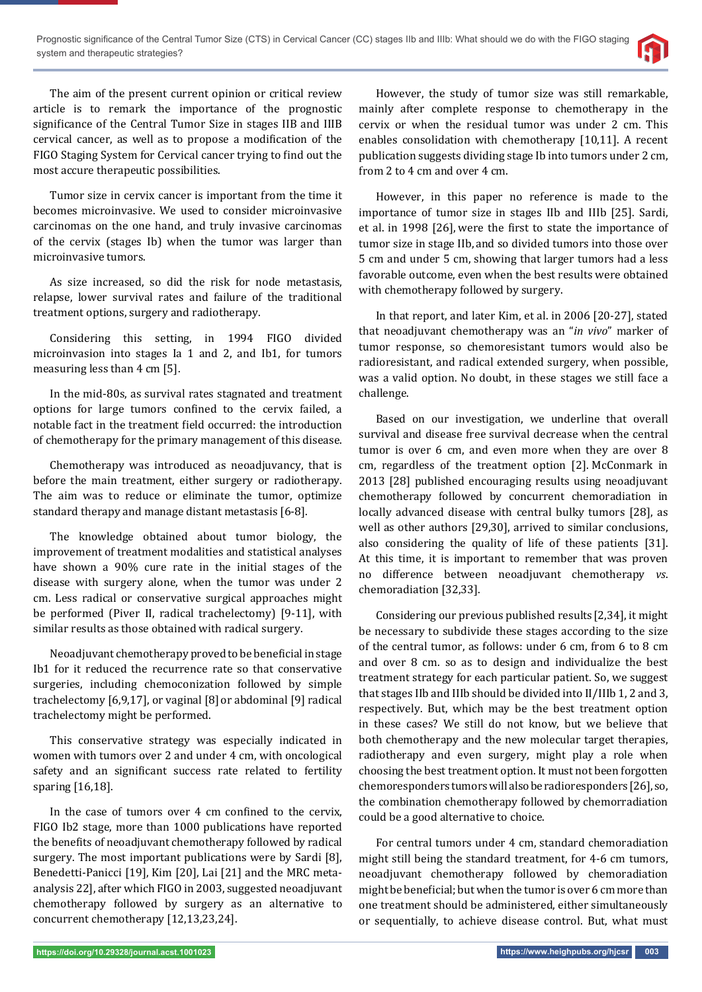

The aim of the present current opinion or critical review article is to remark the importance of the prognostic significance of the Central Tumor Size in stages IIB and IIIB cervical cancer, as well as to propose a modification of the FIGO Staging System for Cervical cancer trying to find out the most accure therapeutic possibilities.

Tumor size in cervix cancer is important from the time it becomes microinvasive. We used to consider microinvasive carcinomas on the one hand, and truly invasive carcinomas of the cervix (stages Ib) when the tumor was larger than microinvasive tumors.

As size increased, so did the risk for node metastasis, relapse, lower survival rates and failure of the traditional treatment options, surgery and radiotherapy.

Considering this setting, in 1994 FIGO divided microinvasion into stages Ia 1 and 2, and Ib1, for tumors measuring less than 4 cm [5].

In the mid-80s, as survival rates stagnated and treatment options for large tumors confined to the cervix failed, a notable fact in the treatment field occurred: the introduction of chemotherapy for the primary management of this disease.

Chemotherapy was introduced as neoadjuvancy, that is before the main treatment, either surgery or radiotherapy. The aim was to reduce or eliminate the tumor, optimize standard therapy and manage distant metastasis [6-8].

The knowledge obtained about tumor biology, the improvement of treatment modalities and statistical analyses have shown a 90% cure rate in the initial stages of the disease with surgery alone, when the tumor was under 2 cm. Less radical or conservative surgical approaches might be performed (Piver II, radical trachelectomy) [9-11], with similar results as those obtained with radical surgery.

Neoadjuvant chemotherapy proved to be beneficial in stage Ib1 for it reduced the recurrence rate so that conservative surgeries, including chemoconization followed by simple trachelectomy [6,9,17], or vaginal [8] or abdominal [9] radical trachelectomy might be performed.

This conservative strategy was especially indicated in women with tumors over 2 and under 4 cm, with oncological safety and an significant success rate related to fertility sparing [16,18].

In the case of tumors over 4 cm confined to the cervix, FIGO Ib2 stage, more than 1000 publications have reported the benefits of neoadjuvant chemotherapy followed by radical surgery. The most important publications were by Sardi [8], Benedetti-Panicci [19], Kim [20], Lai [21] and the MRC metaanalysis 22], after which FIGO in 2003, suggested neoadjuvant chemotherapy followed by surgery as an alternative to concurrent chemotherapy [12,13,23,24].

However, the study of tumor size was still remarkable, mainly after complete response to chemotherapy in the cervix or when the residual tumor was under 2 cm. This enables consolidation with chemotherapy [10,11]. A recent publication suggests dividing stage Ib into tumors under 2 cm, from 2 to 4 cm and over 4 cm.

However, in this paper no reference is made to the importance of tumor size in stages IIb and IIIb [25]. Sardi, et al. in 1998 [26], were the first to state the importance of tumor size in stage IIb, and so divided tumors into those over 5 cm and under 5 cm, showing that larger tumors had a less favorable outcome, even when the best results were obtained with chemotherapy followed by surgery.

In that report, and later Kim, et al. in 2006 [20-27], stated that neoadjuvant chemotherapy was an "*in vivo*" marker of tumor response, so chemoresistant tumors would also be radioresistant, and radical extended surgery, when possible, was a valid option. No doubt, in these stages we still face a challenge.

Based on our investigation, we underline that overall survival and disease free survival decrease when the central tumor is over 6 cm, and even more when they are over 8 cm, regardless of the treatment option [2]. McConmark in 2013 [28] published encouraging results using neoadjuvant chemotherapy followed by concurrent chemoradiation in locally advanced disease with central bulky tumors [28], as well as other authors [29,30], arrived to similar conclusions, also considering the quality of life of these patients [31]. At this time, it is important to remember that was proven no difference between neoadjuvant chemotherapy *vs*. chemoradiation [32,33].

Considering our previous published results [2,34], it might be necessary to subdivide these stages according to the size of the central tumor, as follows: under 6 cm, from 6 to 8 cm and over 8 cm. so as to design and individualize the best treatment strategy for each particular patient. So, we suggest that stages IIb and IIIb should be divided into II/IIIb 1, 2 and 3, respectively. But, which may be the best treatment option in these cases? We still do not know, but we believe that both chemotherapy and the new molecular target therapies, radiotherapy and even surgery, might play a role when choosing the best treatment option. It must not been forgotten chemoresponders tumors will also be radioresponders [26], so, the combination chemotherapy followed by chemorradiation could be a good alternative to choice.

For central tumors under 4 cm, standard chemoradiation might still being the standard treatment, for 4-6 cm tumors, neoadjuvant chemotherapy followed by chemoradiation might be beneficial; but when the tumor is over 6 cm more than one treatment should be administered, either simultaneously or sequentially, to achieve disease control. But, what must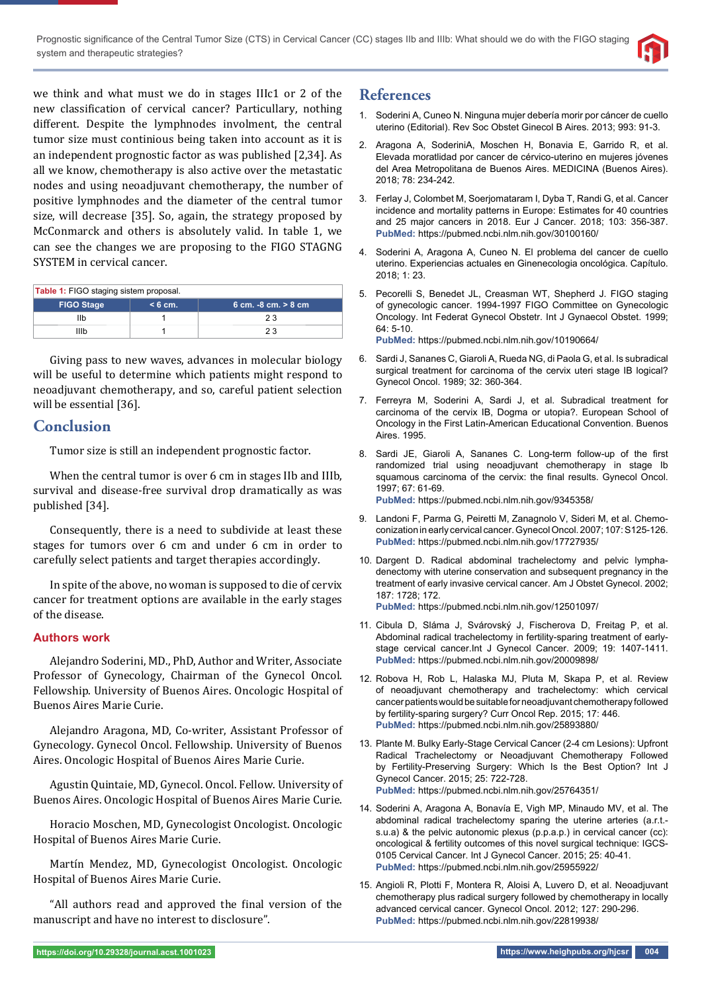

we think and what must we do in stages IIIc1 or 2 of the new classification of cervical cancer? Particullary, nothing different. Despite the lymphnodes involment, the central tumor size must continious being taken into account as it is an independent prognostic factor as was published [2,34]. As all we know, chemotherapy is also active over the metastatic nodes and using neoadjuvant chemotherapy, the number of positive lymphnodes and the diameter of the central tumor size, will decrease [35]. So, again, the strategy proposed by McConmarck and others is absolutely valid. In table 1, we can see the changes we are proposing to the FIGO STAGNG SYSTEM in cervical cancer.

| <b>Table 1:</b> FIGO staging sistem proposal. |           |                      |
|-----------------------------------------------|-----------|----------------------|
| <b>FIGO Stage</b>                             | $< 6$ cm. | 6 cm. -8 cm. > 8 cm. |
| llb                                           |           | 23                   |
| Illb                                          |           | 23                   |

Giving pass to new waves, advances in molecular biology will be useful to determine which patients might respond to neoadjuvant chemotherapy, and so, careful patient selection will be essential [36].

## **Conclusion**

Tumor size is still an independent prognostic factor.

When the central tumor is over 6 cm in stages IIb and IIIb, survival and disease-free survival drop dramatically as was published [34].

Consequently, there is a need to subdivide at least these stages for tumors over 6 cm and under 6 cm in order to carefully select patients and target therapies accordingly.

In spite of the above, no woman is supposed to die of cervix cancer for treatment options are available in the early stages of the disease.

### **Authors work**

Alejandro Soderini, MD., PhD, Author and Writer, Associate Professor of Gynecology, Chairman of the Gynecol Oncol. Fellowship. University of Buenos Aires. Oncologic Hospital of Buenos Aires Marie Curie.

Alejandro Aragona, MD, Co-writer, Assistant Professor of Gynecology. Gynecol Oncol. Fellowship. University of Buenos Aires. Oncologic Hospital of Buenos Aires Marie Curie.

Agustin Quintaie, MD, Gynecol. Oncol. Fellow. University of Buenos Aires. Oncologic Hospital of Buenos Aires Marie Curie.

Horacio Moschen, MD, Gynecologist Oncologist. Oncologic Hospital of Buenos Aires Marie Curie.

Martín Mendez, MD, Gynecologist Oncologist. Oncologic Hospital of Buenos Aires Marie Curie.

"All authors read and approved the final version of the manuscript and have no interest to disclosure".

## **References**

- 1. Soderini A, Cuneo N. Ninguna mujer debería morir por cáncer de cuello uterino (Editorial). Rev Soc Obstet Ginecol B Aires. 2013; 993: 91-3.
- 2. Aragona A, SoderiniA, Moschen H, Bonavia E, Garrido R, et al. Elevada moratlidad por cancer de cérvico-uterino en mujeres jóvenes del Area Metropolitana de Buenos Aires. MEDICINA (Buenos Aires). 2018; 78: 234-242.
- 3. Ferlay J, Colombet M, Soerjomataram I, Dyba T, Randi G, et al. Cancer incidence and mortality patterns in Europe: Estimates for 40 countries and 25 major cancers in 2018. Eur J Cancer. 2018; 103: 356-387. **PubMed:** https://pubmed.ncbi.nlm.nih.gov/30100160/
- 4. Soderini A, Aragona A, Cuneo N. El problema del cancer de cuello uterino. Experiencias actuales en Ginenecologia oncológica. Capítulo. 2018; 1: 23.
- 5. Pecorelli S, Benedet JL, Creasman WT, Shepherd J. FIGO staging of gynecologic cancer. 1994-1997 FIGO Committee on Gynecologic Oncology. Int Federat Gynecol Obstetr. Int J Gynaecol Obstet. 1999; 64: 5-10.

**PubMed:** https://pubmed.ncbi.nlm.nih.gov/10190664/

- 6. Sardi J, Sananes C, Giaroli A, Rueda NG, di Paola G, et al. Is subradical surgical treatment for carcinoma of the cervix uteri stage IB logical? Gynecol Oncol. 1989; 32: 360-364.
- 7. Ferreyra M, Soderini A, Sardi J, et al. Subradical treatment for carcinoma of the cervix IB, Dogma or utopia?. European School of Oncology in the First Latin-American Educational Convention. Buenos Aires. 1995.
- 8. Sardi JE, Giaroli A, Sananes C. Long-term follow-up of the first randomized trial using neoadjuvant chemotherapy in stage Ib squamous carcinoma of the cervix: the final results. Gynecol Oncol. 1997; 67: 61-69.

**PubMed:** https://pubmed.ncbi.nlm.nih.gov/9345358/

- 9. Landoni F, Parma G, Peiretti M, Zanagnolo V, Sideri M, et al. Chemoconization in early cervical cancer. Gynecol Oncol. 2007; 107: S125-126. **PubMed:** https://pubmed.ncbi.nlm.nih.gov/17727935/
- 10. Dargent D. Radical abdominal trachelectomy and pelvic lymphadenectomy with uterine conservation and subsequent pregnancy in the treatment of early invasive cervical cancer. Am J Obstet Gynecol. 2002; 187: 1728; 172. **PubMed:** https://pubmed.ncbi.nlm.nih.gov/12501097/
- 11. Cibula D, Sláma J, Svárovský J, Fischerova D, Freitag P, et al. Abdominal radical trachelectomy in fertility-sparing treatment of earlystage cervical cancer.Int J Gynecol Cancer. 2009; 19: 1407-1411. **PubMed:** https://pubmed.ncbi.nlm.nih.gov/20009898/
- 12. Robova H, Rob L, Halaska MJ, Pluta M, Skapa P, et al. Review of neoadjuvant chemotherapy and trachelectomy: which cervical cancer patients would be suitable for neoadjuvant chemotherapy followed by fertility-sparing surgery? Curr Oncol Rep. 2015; 17: 446. **PubMed:** https://pubmed.ncbi.nlm.nih.gov/25893880/
- 13. Plante M. Bulky Early-Stage Cervical Cancer (2-4 cm Lesions): Upfront Radical Trachelectomy or Neoadjuvant Chemotherapy Followed by Fertility-Preserving Surgery: Which Is the Best Option? Int J Gynecol Cancer. 2015; 25: 722-728. **PubMed:** https://pubmed.ncbi.nlm.nih.gov/25764351/
- 14. Soderini A, Aragona A, Bonavía E, Vigh MP, Minaudo MV, et al. The abdominal radical trachelectomy sparing the uterine arteries (a.r.t. s.u.a) & the pelvic autonomic plexus (p.p.a.p.) in cervical cancer (cc): oncological & fertility outcomes of this novel surgical technique: IGCS-0105 Cervical Cancer. Int J Gynecol Cancer. 2015; 25: 40-41. **PubMed:** https://pubmed.ncbi.nlm.nih.gov/25955922/
- 15. Angioli R, Plotti F, Montera R, Aloisi A, Luvero D, et al. Neoadjuvant chemotherapy plus radical surgery followed by chemotherapy in locally advanced cervical cancer. Gynecol Oncol. 2012; 127: 290-296. **PubMed:** https://pubmed.ncbi.nlm.nih.gov/22819938/